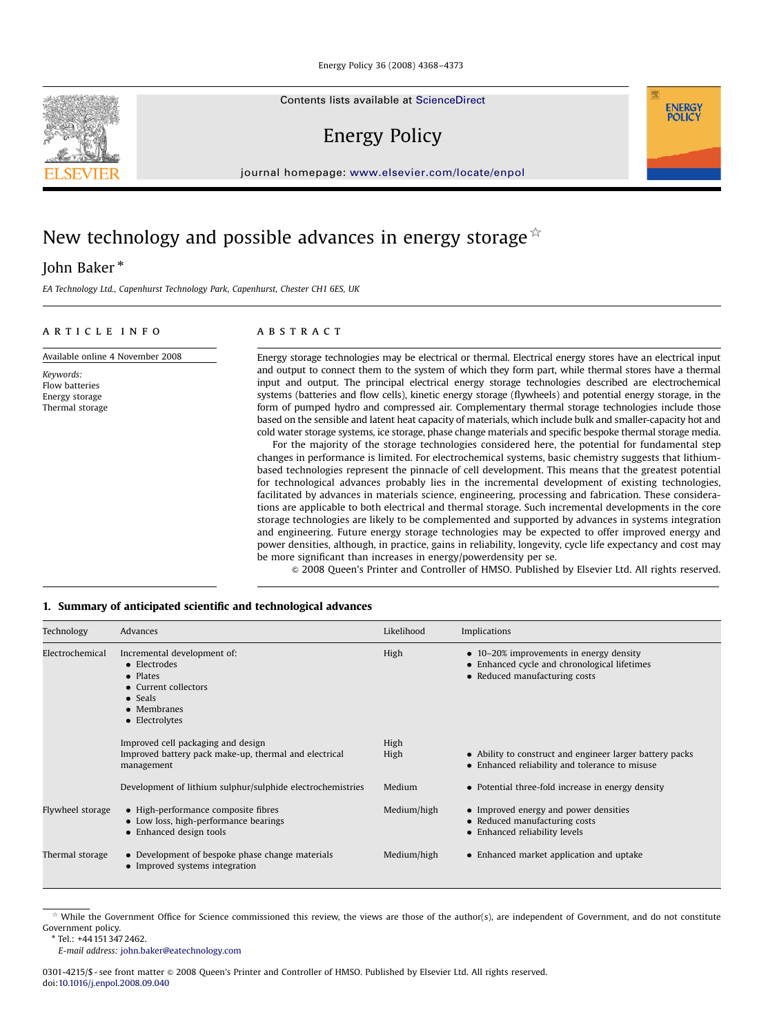Energy Policy 36 (2008) 4368–4373

Contents lists available at [ScienceDirect](www.sciencedirect.com/science/journal/jepo)

Energy Policy

journal homepage: <www.elsevier.com/locate/enpol>

# New technology and possible advances in energy storage  $\dot{\alpha}$

John Baker  $^{\ast}$ 

Keywords: Flow batteries Energy storage Thermal storage

EA Technology Ltd., Capenhurst Technology Park, Capenhurst, Chester CH1 6ES, UK

## article info

Available online 4 November 2008

## ABSTRACT

Energy storage technologies may be electrical or thermal. Electrical energy stores have an electrical input and output to connect them to the system of which they form part, while thermal stores have a thermal input and output. The principal electrical energy storage technologies described are electrochemical systems (batteries and flow cells), kinetic energy storage (flywheels) and potential energy storage, in the form of pumped hydro and compressed air. Complementary thermal storage technologies include those based on the sensible and latent heat capacity of materials, which include bulk and smaller-capacity hot and cold water storage systems, ice storage, phase change materials and specific bespoke thermal storage media.

For the majority of the storage technologies considered here, the potential for fundamental step changes in performance is limited. For electrochemical systems, basic chemistry suggests that lithiumbased technologies represent the pinnacle of cell development. This means that the greatest potential for technological advances probably lies in the incremental development of existing technologies, facilitated by advances in materials science, engineering, processing and fabrication. These considerations are applicable to both electrical and thermal storage. Such incremental developments in the core storage technologies are likely to be complemented and supported by advances in systems integration and engineering. Future energy storage technologies may be expected to offer improved energy and power densities, although, in practice, gains in reliability, longevity, cycle life expectancy and cost may be more significant than increases in energy/powerdensity per se.

& 2008 Queen's Printer and Controller of HMSO. Published by Elsevier Ltd. All rights reserved.

### 1. Summary of anticipated scientific and technological advances

| Technology       | Advances                                                                                                                                            | Likelihood   | Implications                                                                                                                     |
|------------------|-----------------------------------------------------------------------------------------------------------------------------------------------------|--------------|----------------------------------------------------------------------------------------------------------------------------------|
| Electrochemical  | Incremental development of:<br>• Electrodes<br>$\bullet$ Plates<br>• Current collectors<br>$\bullet$ Seals<br>$\bullet$ Membranes<br>• Electrolytes | High         | $\bullet$ 10–20% improvements in energy density<br>• Enhanced cycle and chronological lifetimes<br>• Reduced manufacturing costs |
|                  | Improved cell packaging and design<br>Improved battery pack make-up, thermal and electrical<br>management                                           | High<br>High | • Ability to construct and engineer larger battery packs<br>• Enhanced reliability and tolerance to misuse                       |
|                  | Development of lithium sulphur/sulphide electrochemistries                                                                                          | Medium       | • Potential three-fold increase in energy density                                                                                |
| Flywheel storage | • High-performance composite fibres<br>• Low loss, high-performance bearings<br>• Enhanced design tools                                             | Medium/high  | • Improved energy and power densities<br>• Reduced manufacturing costs<br>• Enhanced reliability levels                          |
| Thermal storage  | • Development of bespoke phase change materials<br>• Improved systems integration                                                                   | Medium/high  | • Enhanced market application and uptake                                                                                         |

 $*$  While the Government Office for Science commissioned this review, the views are those of the author(s), are independent of Government, and do not constitute Government policy.

Tel.: +44 151347 2462.

E-mail address: [john.baker@eatechnology.com](mailto:john.baker@eatechnology.com)

0301-4215/\$ - see front matter  $\circ$  2008 Queen's Printer and Controller of HMSO. Published by Elsevier Ltd. All rights reserved. doi:[10.1016/j.enpol.2008.09.040](dx.doi.org/10.1016/j.enpol.2008.09.040)



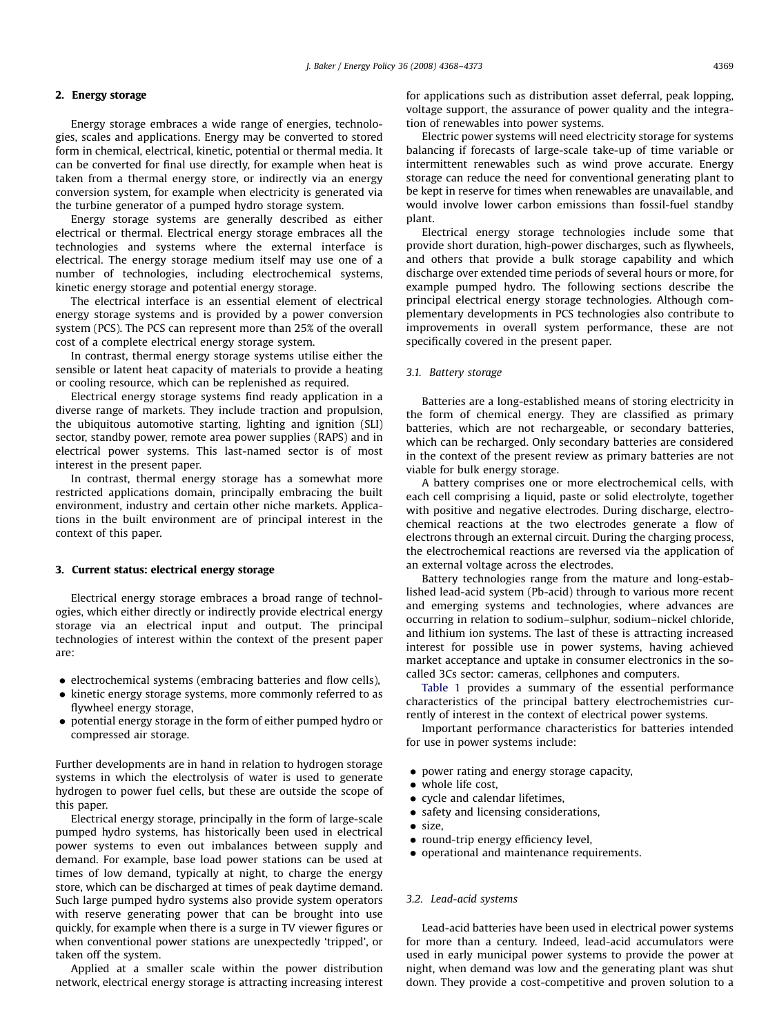### 2. Energy storage

Energy storage embraces a wide range of energies, technologies, scales and applications. Energy may be converted to stored form in chemical, electrical, kinetic, potential or thermal media. It can be converted for final use directly, for example when heat is taken from a thermal energy store, or indirectly via an energy conversion system, for example when electricity is generated via the turbine generator of a pumped hydro storage system.

Energy storage systems are generally described as either electrical or thermal. Electrical energy storage embraces all the technologies and systems where the external interface is electrical. The energy storage medium itself may use one of a number of technologies, including electrochemical systems, kinetic energy storage and potential energy storage.

The electrical interface is an essential element of electrical energy storage systems and is provided by a power conversion system (PCS). The PCS can represent more than 25% of the overall cost of a complete electrical energy storage system.

In contrast, thermal energy storage systems utilise either the sensible or latent heat capacity of materials to provide a heating or cooling resource, which can be replenished as required.

Electrical energy storage systems find ready application in a diverse range of markets. They include traction and propulsion, the ubiquitous automotive starting, lighting and ignition (SLI) sector, standby power, remote area power supplies (RAPS) and in electrical power systems. This last-named sector is of most interest in the present paper.

In contrast, thermal energy storage has a somewhat more restricted applications domain, principally embracing the built environment, industry and certain other niche markets. Applications in the built environment are of principal interest in the context of this paper.

#### 3. Current status: electrical energy storage

Electrical energy storage embraces a broad range of technologies, which either directly or indirectly provide electrical energy storage via an electrical input and output. The principal technologies of interest within the context of the present paper are:

- $\bullet$  electrochemical systems (embracing batteries and flow cells),
- $\bullet$  kinetic energy storage systems, more commonly referred to as flywheel energy storage,
- potential energy storage in the form of either pumped hydro or compressed air storage.

Further developments are in hand in relation to hydrogen storage systems in which the electrolysis of water is used to generate hydrogen to power fuel cells, but these are outside the scope of this paper.

Electrical energy storage, principally in the form of large-scale pumped hydro systems, has historically been used in electrical power systems to even out imbalances between supply and demand. For example, base load power stations can be used at times of low demand, typically at night, to charge the energy store, which can be discharged at times of peak daytime demand. Such large pumped hydro systems also provide system operators with reserve generating power that can be brought into use quickly, for example when there is a surge in TV viewer figures or when conventional power stations are unexpectedly 'tripped', or taken off the system.

Applied at a smaller scale within the power distribution network, electrical energy storage is attracting increasing interest for applications such as distribution asset deferral, peak lopping, voltage support, the assurance of power quality and the integration of renewables into power systems.

Electric power systems will need electricity storage for systems balancing if forecasts of large-scale take-up of time variable or intermittent renewables such as wind prove accurate. Energy storage can reduce the need for conventional generating plant to be kept in reserve for times when renewables are unavailable, and would involve lower carbon emissions than fossil-fuel standby plant.

Electrical energy storage technologies include some that provide short duration, high-power discharges, such as flywheels, and others that provide a bulk storage capability and which discharge over extended time periods of several hours or more, for example pumped hydro. The following sections describe the principal electrical energy storage technologies. Although complementary developments in PCS technologies also contribute to improvements in overall system performance, these are not specifically covered in the present paper.

#### 3.1. Battery storage

Batteries are a long-established means of storing electricity in the form of chemical energy. They are classified as primary batteries, which are not rechargeable, or secondary batteries, which can be recharged. Only secondary batteries are considered in the context of the present review as primary batteries are not viable for bulk energy storage.

A battery comprises one or more electrochemical cells, with each cell comprising a liquid, paste or solid electrolyte, together with positive and negative electrodes. During discharge, electrochemical reactions at the two electrodes generate a flow of electrons through an external circuit. During the charging process, the electrochemical reactions are reversed via the application of an external voltage across the electrodes.

Battery technologies range from the mature and long-established lead-acid system (Pb-acid) through to various more recent and emerging systems and technologies, where advances are occurring in relation to sodium–sulphur, sodium–nickel chloride, and lithium ion systems. The last of these is attracting increased interest for possible use in power systems, having achieved market acceptance and uptake in consumer electronics in the socalled 3Cs sector: cameras, cellphones and computers.

[Table 1](#page--1-0) provides a summary of the essential performance characteristics of the principal battery electrochemistries currently of interest in the context of electrical power systems.

Important performance characteristics for batteries intended for use in power systems include:

- power rating and energy storage capacity,
- whole life cost,
- cycle and calendar lifetimes,
- safety and licensing considerations,
- size,
- round-trip energy efficiency level,
- operational and maintenance requirements.

#### 3.2. Lead-acid systems

Lead-acid batteries have been used in electrical power systems for more than a century. Indeed, lead-acid accumulators were used in early municipal power systems to provide the power at night, when demand was low and the generating plant was shut down. They provide a cost-competitive and proven solution to a